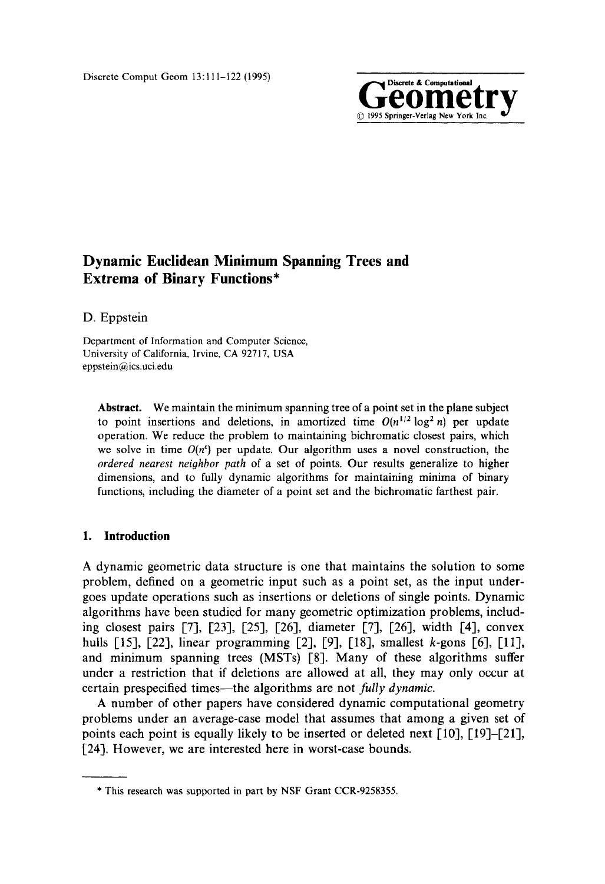

# **Dynamic Euclidean Minimum Spanning Trees and Extrema of Binary Functions\***

D. Eppstein

Department of Information and Computer Science, University of California, Irvine, CA 92717, USA eppstein@ics.uci.edu

**Abstract.** We maintain the minimum spanning tree of a point set in the plane subject to point insertions and deletions, in amortized time  $O(n^{1/2} \log^2 n)$  per update operation. We reduce the problem to maintaining bichromatic closest pairs, which we solve in time  $O(n^e)$  per update. Our algorithm uses a novel construction, the *ordered nearest neighbor path* of a set of points. Our results generalize to higher dimensions, and to fully dynamic algorithms for maintaining minima of binary functions, including the diameter of a point set and the bichromatic farthest pair.

## **I. Introduction**

A dynamic geometric data structure is one that maintains the solution to some problem, defined on a geometric input such as a point set, as the input undergoes update operations such as insertions or deletions of single points. Dynamic algorithms have been studied for many geometric optimization problems, including closest pairs [7], [23], [25], [26], diameter [7], [26], width [4], convex hulls [15], [22], linear programming [2], [9], [18], smallest *k*-gons [6], [11], and minimum spanning trees (MSTs) [8]. Many of these algorithms suffer under a restriction that if deletions are allowed at all, they may only occur at certain prespecified times--the algorithms are not *fully dynamic.* 

A number of other papers have considered dynamic computational geometry problems under an average-case model that assumes that among a given set of points each point is equally likely to be inserted or deleted next [10], [19]-[21], [24]. However, we are interested here in worst-case bounds.

<sup>\*</sup> This research was supported in part by NSF Grant CCR-9258355.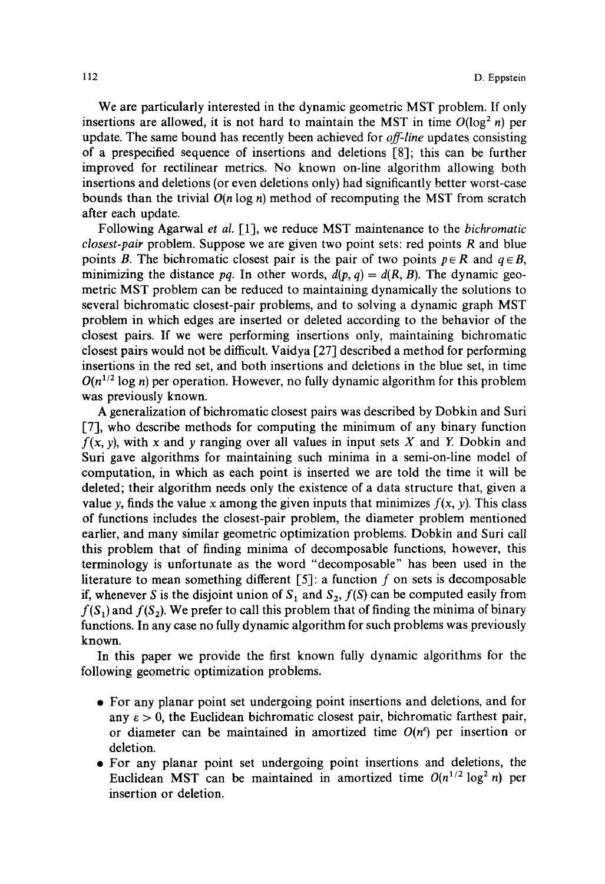We are particularly interested in the dynamic geometric MST problem. If only insertions are allowed, it is not hard to maintain the MST in time  $O(\log^2 n)$  per update. The same bound has recently been achieved for *off-line* updates consisting of a prespecified sequence of insertions and deletions [8]; this can be further improved for rectilinear metrics. No known on-line algorithm allowing both insertions and deletions (or even deletions only) had significantly better worst-case bounds than the trivial *O(n* log n) method of recomputing the MST from scratch after each update.

Following Agarwal *et al.* [1], we reduce MST maintenance to the *bichromatic closest-pair* problem. Suppose we are given two point sets: red points R and blue points B. The bichromatic closest pair is the pair of two points  $p \in R$  and  $q \in B$ , minimizing the distance *pq*. In other words,  $d(p, q) = d(R, B)$ . The dynamic geometric MST problem can be reduced to maintaining dynamically the solutions to several bichromatic closest-pair problems, and to solving a dynamic graph MST problem in which edges are inserted or deleted according to the behavior of the closest pairs. If we were performing insertions only, maintaining bichromatic closest pairs would not be difficult. Vaidya [27] described a method for performing insertions in the red set, and both insertions and deletions in the blue set, in time  $O(n^{1/2} \log n)$  per operation. However, no fully dynamic algorithm for this problem was previously known.

A generalization of bichromatic closest pairs was described by Dobkin and Suri [7], who describe methods for computing the minimum of any binary function  $f(x, y)$ , with x and y ranging over all values in input sets X and Y. Dobkin and Suri gave algorithms for maintaining such minima in a semi-on-line model of computation, in which as each point is inserted we are told the time it will be deleted; their algorithm needs only the existence of a data structure that, given a value y, finds the value x among the given inputs that minimizes  $f(x, y)$ . This class of functions includes the closest-pair problem, the diameter problem mentioned earlier, and many similar geometric optimization problems. Dobkin and Suri call this problem that of finding minima of decomposable functions, however, this terminology is unfortunate as the word "decomposable" has been used in the literature to mean something different  $[5]$ : a function f on sets is decomposable if, whenever S is the disjoint union of  $S_1$  and  $S_2$ ,  $f(S)$  can be computed easily from  $f(S_1)$  and  $f(S_2)$ . We prefer to call this problem that of finding the minima of binary functions. In any case no fully dynamic algorithm for such problems was previously known.

In this paper we provide the first known fully dynamic algorithms for the following geometric optimization problems.

- 9 For any planar point set undergoing point insertions and deletions, and for any  $\epsilon > 0$ , the Euclidean bichromatic closest pair, bichromatic farthest pair, or diameter can be maintained in amortized time  $O(n^e)$  per insertion or deletion.
- 9 For any planar point set undergoing point insertions and deletions, the Euclidean MST can be maintained in amortized time  $O(n^{1/2} \log^2 n)$  per insertion or deletion.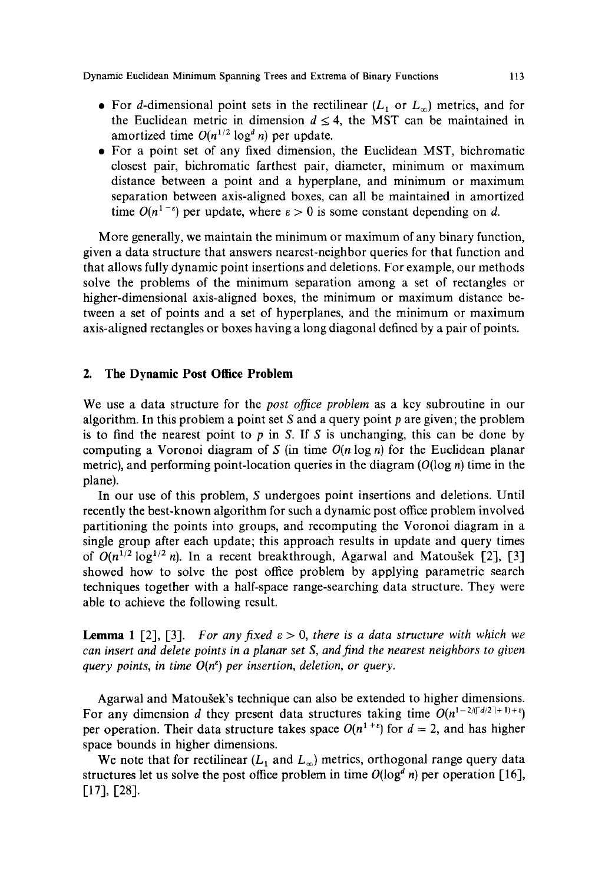- For d-dimensional point sets in the rectilinear  $(L_1 \text{ or } L_{\infty})$  metrics, and for the Euclidean metric in dimension  $d \leq 4$ , the MST can be maintained in amortized time  $O(n^{1/2} \log^d n)$  per update.
- 9 For a point set of any fixed dimension, the Euclidean MST, bichromatic closest pair, bichromatic farthest pair, diameter, minimum or maximum distance between a point and a hyperplane, and minimum or maximum separation between axis-aligned boxes, can all be maintained in amortized time  $O(n^{1-\epsilon})$  per update, where  $\epsilon > 0$  is some constant depending on d.

More generally, we maintain the minimum or maximum of any binary function, given a data structure that answers nearest-neighbor queries for that function and that allows fully dynamic point insertions and deletions. For example, our methods solve the problems of the minimum separation among a set of rectangles or higher-dimensional axis-aligned boxes, the minimum or maximum distance between a set of points and a set of hyperplanes, and the minimum or maximum axis-aligned rectangles or boxes having a long diagonal defined by a pair of points.

## **2. The Dynamic Post Office Problem**

We use a data structure for the *post office problem* as a key subroutine in our algorithm. In this problem a point set S and a query point  $p$  are given; the problem is to find the nearest point to p in S. If S is unchanging, this can be done by computing a Voronoi diagram of S (in time  $O(n \log n)$  for the Euclidean planar metric), and performing point-location queries in the diagram  $(O(\log n)$  time in the plane).

In our use of this problem, S undergoes point insertions and deletions. Until recently the best-known algorithm for such a dynamic post office problem involved partitioning the points into groups, and recomputing the Voronoi diagram in a single group after each update; this approach results in update and query times of  $O(n^{1/2} \log^{1/2} n)$ . In a recent breakthrough, Agarwal and Matousek [2], [3] showed how to solve the post office problem by applying parametric search techniques together with a half-space range-searching data structure. They were able to achieve the following result.

**Lemma 1** [2], [3]. *For any fixed*  $\varepsilon > 0$ , *there is a data structure with which we can insert and delete points in a planar set S, and find the nearest neighbors to 9iven query points, in time*  $O(n^e)$  *per insertion, deletion, or query.* 

Agarwal and Matousek's technique can also be extended to higher dimensions. For any dimension d they present data structures taking time  $O(n^{1-2/(d/2)+1)+\epsilon})$ per operation. Their data structure takes space  $O(n^{1+\epsilon})$  for  $d = 2$ , and has higher space bounds in higher dimensions.

We note that for rectilinear ( $L_1$  and  $L_{\infty}$ ) metrics, orthogonal range query data structures let us solve the post office problem in time  $O(log^d n)$  per operation [16], [17], [28].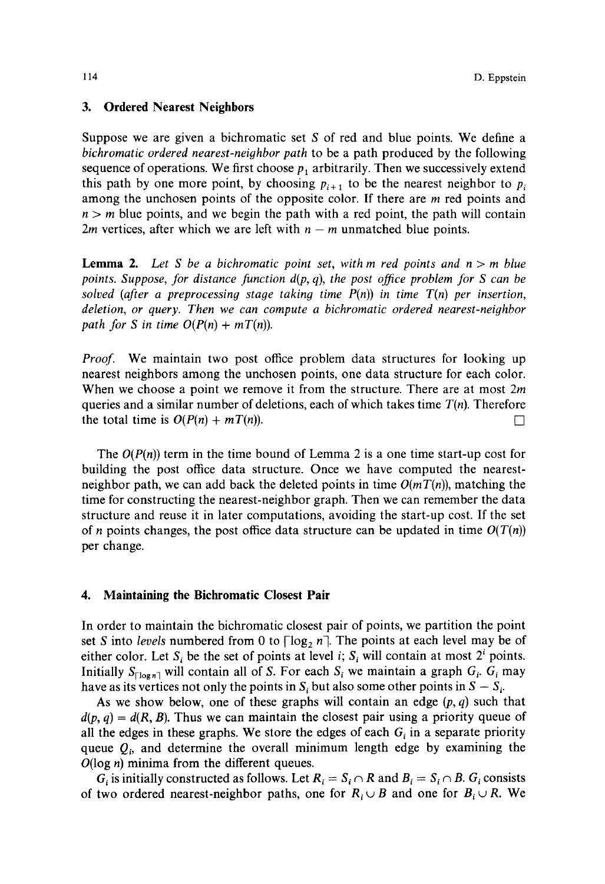# **3. Ordered Nearest Neighbors**

Suppose we are given a bichromatic set S of red and blue points. We define a *bichromatic ordered nearest-neighbor path* to be a path produced by the following sequence of operations. We first choose  $p_1$  arbitrarily. Then we successively extend this path by one more point, by choosing  $p_{i+1}$  to be the nearest neighbor to  $p_i$ among the unchosen points of the opposite color. If there are *m* red points and  $n > m$  blue points, and we begin the path with a red point, the path will contain 2*m* vertices, after which we are left with  $n - m$  unmatched blue points.

**Lemma 2.** Let S be a bichromatic point set, with m red points and  $n > m$  blue *points. Suppose, for distance function d(p,* q), *the post office problem for S can be solved (after a preprocessing stage taking time P(n)) in time T(n) per insertion, deletion, or query. Then we can compute a bichromatic ordered nearest-neighbor path for S in time*  $O(P(n) + mT(n))$ *.* 

*Proof.* We maintain two post office problem data structures for looking up nearest neighbors among the unchosen points, one data structure for each color. When we choose a point we remove it from the structure. There are at most 2m queries and a similar number of deletions, each of which takes time *T(n).* Therefore the total time is  $O(P(n) + mT(n))$ .

The  $O(P(n))$  term in the time bound of Lemma 2 is a one time start-up cost for building the post office data structure. Once we have computed the nearestneighbor path, we can add back the deleted points in time  $O(mT(n))$ , matching the time for constructing the nearest-neighbor graph. Then we can remember the data structure and reuse it in later computations, avoiding the start-up cost. If the set of *n* points changes, the post office data structure can be updated in time  $O(T(n))$ per change.

## **4. Maintaining the Bichromatic Closest Pair**

In order to maintain the bichromatic closest pair of points, we partition the point set S into *levels* numbered from 0 to  $\lceil \log_2 n \rceil$ . The points at each level may be of either color. Let  $S_i$  be the set of points at level i;  $S_i$  will contain at most  $2^i$  points. Initially  $S_{\lceil \log n \rceil}$  will contain all of S. For each  $S_i$  we maintain a graph  $G_i$ .  $G_i$  may have as its vertices not only the points in  $S_i$  but also some other points in  $S - S_i$ .

As we show below, one of these graphs will contain an edge  $(p, q)$  such that  $d(p, q) = d(R, B)$ . Thus we can maintain the closest pair using a priority queue of all the edges in these graphs. We store the edges of each  $G_i$  in a separate priority queue  $Q_i$ , and determine the overall minimum length edge by examining the  $O(\log n)$  minima from the different queues.

 $G_i$  is initially constructed as follows. Let  $R_i = S_i \cap R$  and  $B_i = S_i \cap B$ .  $G_i$  consists of two ordered nearest-neighbor paths, one for  $R_i \cup B$  and one for  $B_i \cup R$ . We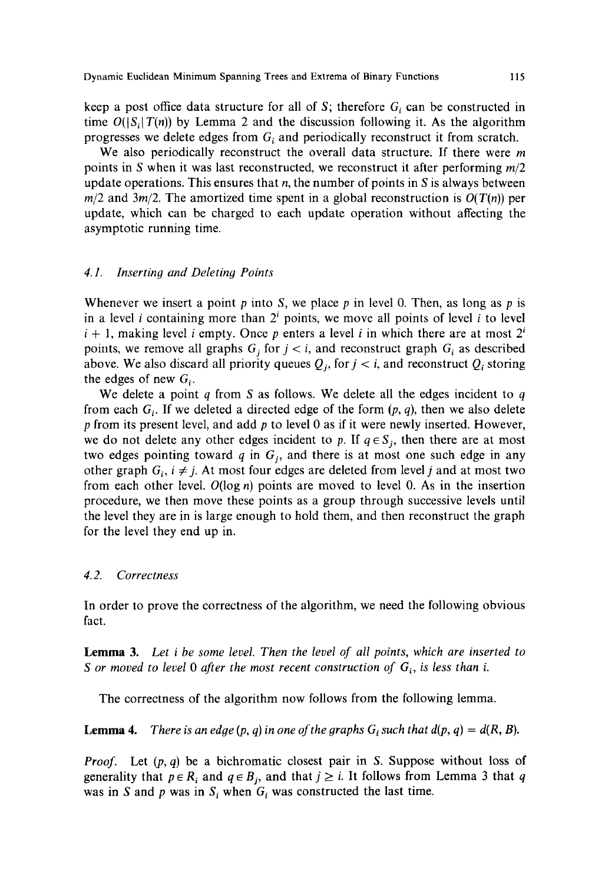keep a post office data structure for all of S; therefore  $G_i$  can be constructed in time  $O(|S_i|T(n))$  by Lemma 2 and the discussion following it. As the algorithm progresses we delete edges from  $G_i$  and periodically reconstruct it from scratch.

We also periodically reconstruct the overall data structure. If there were  $m$ points in S when it was last reconstructed, we reconstruct it after performing *m/2*  update operations. This ensures that n, the number of points in S is always between  $m/2$  and  $3m/2$ . The amortized time spent in a global reconstruction is  $O(T(n))$  per update, which can be charged to each update operation without affecting the asymptotic running time.

## *4.1. Inserting and Deleting Points*

Whenever we insert a point p into S, we place p in level 0. Then, as long as p is in a level *i* containing more than  $2<sup>i</sup>$  points, we move all points of level *i* to level  $i + 1$ , making level i empty. Once p enters a level i in which there are at most  $2^{i}$ points, we remove all graphs  $G_i$  for  $j < i$ , and reconstruct graph  $G_i$  as described above. We also discard all priority queues  $Q_i$ , for  $j < i$ , and reconstruct  $Q_i$  storing the edges of new  $G<sub>i</sub>$ .

We delete a point  $q$  from S as follows. We delete all the edges incident to  $q$ from each  $G_i$ . If we deleted a directed edge of the form  $(p, q)$ , then we also delete p from its present level, and add  $p$  to level 0 as if it were newly inserted. However, we do not delete any other edges incident to p. If  $q \in S_i$ , then there are at most two edges pointing toward  $q$  in  $G_i$ , and there is at most one such edge in any other graph  $G_i$ ,  $i \neq j$ . At most four edges are deleted from level j and at most two from each other level.  $O(log n)$  points are moved to level 0. As in the insertion procedure, we then move these points as a group through successive levels until the level they are in is large enough to hold them, and then reconstruct the graph for the level they end up in.

#### *4.2. Correctness*

In order to prove the correctness of the algorithm, we need the following obvious fact.

Lemma 3. *Let i be some level. Then the level of all points, which are inserted to S* or moved to level 0 after the most recent construction of  $G_i$ , is less than i.

The correctness of the algorithm now follows from the following lemma.

**Lemma 4.** *There is an edge (p, q) in one of the graphs G<sub>i</sub> such that*  $d(p, q) = d(R, B)$ *.* 

*Proof.* Let  $(p, q)$  be a bichromatic closest pair in S. Suppose without loss of generality that  $p \in R_i$  and  $q \in B_j$ , and that  $j \geq i$ . It follows from Lemma 3 that q was in S and p was in  $S_i$  when  $G_i$  was constructed the last time.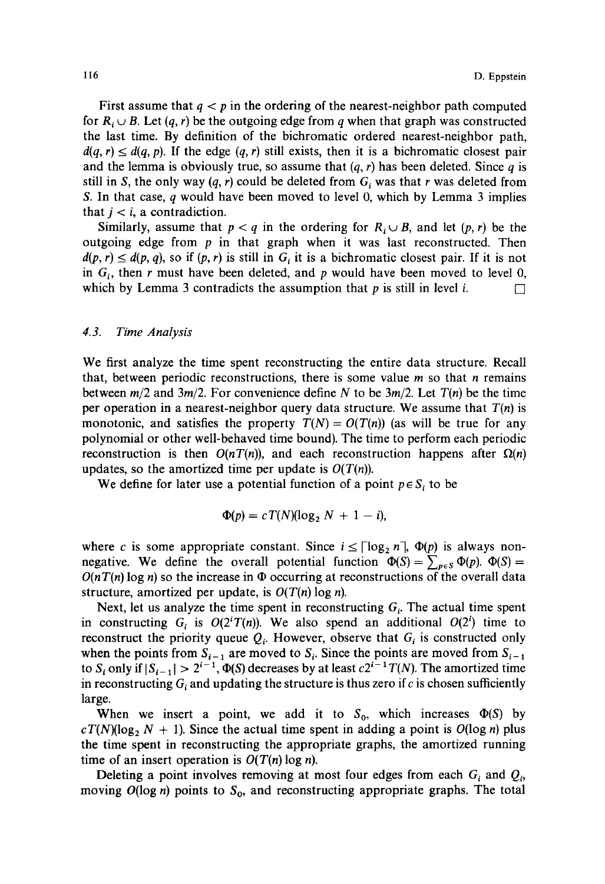First assume that  $q < p$  in the ordering of the nearest-neighbor path computed for  $R_i \cup B$ . Let  $(q, r)$  be the outgoing edge from q when that graph was constructed the last time. By definition of the bichromatic ordered nearest-neighbor path,  $d(q, r) \leq d(q, p)$ . If the edge  $(q, r)$  still exists, then it is a bichromatic closest pair and the lemma is obviously true, so assume that  $(q, r)$  has been deleted. Since q is still in S, the only way  $(q, r)$  could be deleted from  $G_i$  was that r was deleted from S. In that case,  $q$  would have been moved to level 0, which by Lemma 3 implies that  $j < i$ , a contradiction.

Similarly, assume that  $p < q$  in the ordering for  $R_i \cup B$ , and let  $(p, r)$  be the outgoing edge from  $p$  in that graph when it was last reconstructed. Then  $d(p, r) \leq d(p, q)$ , so if  $(p, r)$  is still in  $G_i$  it is a bichromatic closest pair. If it is not in  $G_i$ , then r must have been deleted, and p would have been moved to level 0, which by Lemma 3 contradicts the assumption that  $p$  is still in level  $i$ .

# *4.3. Time Analysis*

We first analyze the time spent reconstructing the entire data structure. Recall that, between periodic reconstructions, there is some value  $m$  so that  $n$  remains between  $m/2$  and  $3m/2$ . For convenience define N to be  $3m/2$ . Let  $T(n)$  be the time per operation in a nearest-neighbor query data structure. We assume that  $T(n)$  is monotonic, and satisfies the property  $T(N) = O(T(n))$  (as will be true for any polynomial or other well-behaved time bound). The time to perform each periodic reconstruction is then  $O(nT(n))$ , and each reconstruction happens after  $\Omega(n)$ updates, so the amortized time per update is  $O(T(n))$ .

We define for later use a potential function of a point  $p \in S_i$  to be

$$
\Phi(p) = c T(N) (\log_2 N + 1 - i),
$$

where c is some appropriate constant. Since  $i \leq \lceil \log_2 n \rceil$ ,  $\Phi(p)$  is always nonnegative. We define the overall potential function  $\Phi(S) = \sum_{p \in S} \Phi(p)$ .  $\Phi(S) =$  $O(nT(n) \log n)$  so the increase in  $\Phi$  occurring at reconstructions of the overall data structure, amortized per update, is  $O(T(n) \log n)$ .

Next, let us analyze the time spent in reconstructing  $G_i$ . The actual time spent in constructing  $G_i$  is  $O(2^i T(n))$ . We also spend an additional  $O(2^i)$  time to reconstruct the priority queue  $Q_i$ . However, observe that  $G_i$  is constructed only when the points from  $S_{i-1}$  are moved to  $S_i$ . Since the points are moved from  $S_{i-1}$ to  $S_i$  only if  $|S_{i-1}| > 2^{i-1}$ ,  $\Phi(S)$  decreases by at least  $c2^{i-1}T(N)$ . The amortized time in reconstructing  $G_i$  and updating the structure is thus zero if c is chosen sufficiently large.

When we insert a point, we add it to  $S_0$ , which increases  $\Phi(S)$  by  $cT(N)(log_2 N + 1)$ . Since the actual time spent in adding a point is  $O(log n)$  plus the time spent in reconstructing the appropriate graphs, the amortized running time of an insert operation is  $O(T(n) \log n)$ .

Deleting a point involves removing at most four edges from each  $G_i$  and  $Q_i$ , moving  $O(\log n)$  points to  $S_0$ , and reconstructing appropriate graphs. The total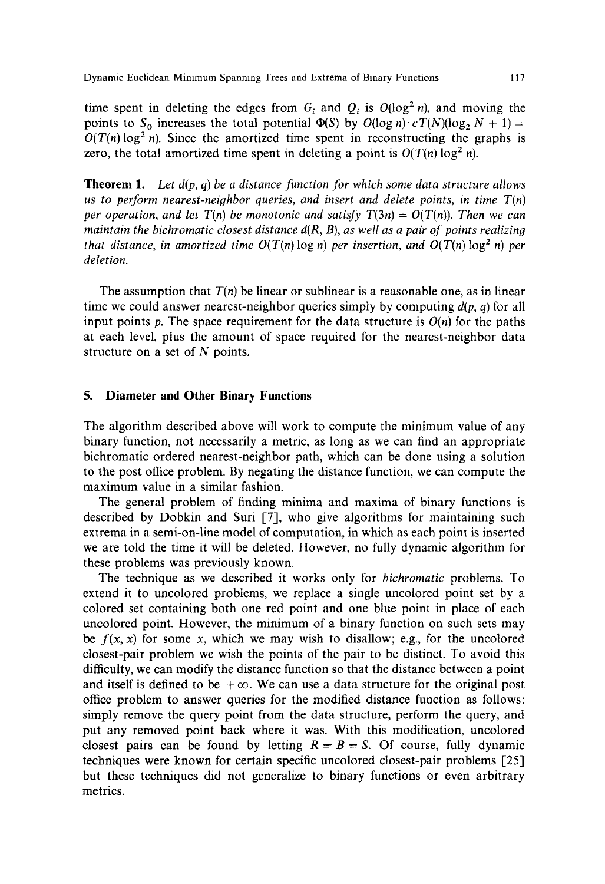time spent in deleting the edges from  $G_i$  and  $Q_i$  is  $O(\log^2 n)$ , and moving the points to  $S_0$  increases the total potential  $\Phi(S)$  by  $O(\log n) \cdot cT(N)(\log_2 N + 1) =$  $O(T(n) \log^2 n)$ . Since the amortized time spent in reconstructing the graphs is zero, the total amortized time spent in deleting a point is  $O(T(n) \log^2 n)$ .

**Theorem** 1. *Let d(p, q) be a distance function for which some data structure allows us to perform nearest-neighbor queries, and insert and delete points, in time*  $T(n)$ *per operation, and let T(n) be monotonic and satisfy T(3n) =*  $O(T(n))$ *. Then we can maintain the bichromatic closest distance*  $d(R, B)$ , as well as a pair of points realizing *that distance, in amortized time*  $O(T(n) \log n)$  *per insertion, and*  $O(T(n) \log^2 n)$  *per deletion.* 

The assumption that *T(n)* be linear or sublinear is a reasonable one, as in linear time we could answer nearest-neighbor queries simply by computing *d(p, q)* for all input points p. The space requirement for the data structure is  $O(n)$  for the paths at each level, plus the amount of space required for the nearest-neighbor data structure on a set of N points.

# **5. Diameter and Other Binary Functions**

The algorithm described above will work to compute the minimum value of any binary function, not necessarily a metric, as long as we can find an appropriate bichromatic ordered nearest-neighbor path, which can be done using a solution to the post office problem. By negating the distance function, we can compute the maximum value in a similar fashion.

The general problem of finding minima and maxima of binary functions is described by Dobkin and Suri [73, who give algorithms for maintaining such extrema in a semi-on-line model of computation, in which as each point is inserted we are told the time it will be deleted. However, no fully dynamic algorithm for these problems was previously known.

The technique as we described it works only for *bichromatic* problems. To extend it to uncolored problems, we replace a single uncolored point set by a colored set containing both one red point and one blue point in place of each uncolored point. However, the minimum of a binary function on such sets may be  $f(x, x)$  for some x, which we may wish to disallow; e.g., for the uncolored closest-pair problem we wish the points of the pair to be distinct. To avoid this difficulty, we can modify the distance function so that the distance between a point and itself is defined to be  $+\infty$ . We can use a data structure for the original post office problem to answer queries for the modified distance function as follows: simply remove the query point from the data structure, perform the query, and put any removed point back where it was. With this modification, uncolored closest pairs can be found by letting  $R = B = S$ . Of course, fully dynamic techniques were known for certain specific uncolored closest-pair problems [25] but these techniques did not generalize to binary functions or even arbitrary metrics.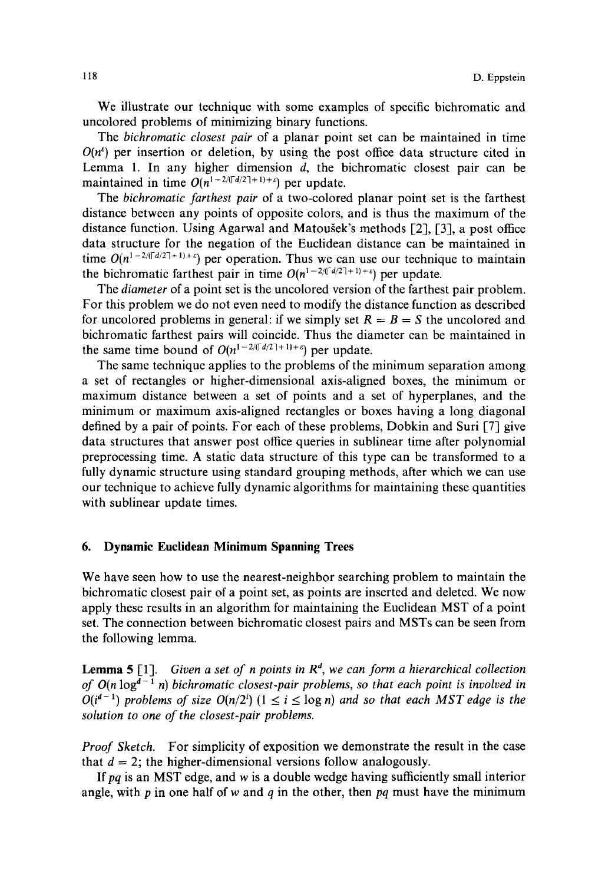We illustrate our technique with some examples of specific bichromatic and uncolored problems of minimizing binary functions.

The *bichromatic closest pair* of a planar point set can be maintained in time  $O(n^e)$  per insertion or deletion, by using the post office data structure cited in Lemma 1. In any higher dimension d, the bichromatic closest pair can be maintained in time  $O(n^{1-2/(\lceil d/2 \rceil+1)+\varepsilon})$  per update.

The *bichromatic farthest pair* of a two-colored planar point set is the farthest distance between any points of opposite colors, and is thus the maximum of the distance function. Using Agarwal and Matougek's methods [2], [3], a post office data structure for the negation of the Euclidean distance can be maintained in time  $O(n^{1-2/(\lceil d/2 \rceil+1)+\epsilon})$  per operation. Thus we can use our technique to maintain the bichromatic farthest pair in time  $O(n^{1-2/(\lceil d/2 \rceil+1)+\epsilon})$  per update.

The *diameter* of a point set is the uncolored version of the farthest pair problem. For this problem we do not even need to modify the distance function as described for uncolored problems in general: if we simply set  $R = B = S$  the uncolored and bichromatic farthest pairs will coincide. Thus the diameter can be maintained in the same time bound of  $O(n^{1-2/(\lceil d/2 \rceil+1)+\varepsilon})$  per update.

The same technique applies to the problems of the minimum separation among a set of rectangles or higher-dimensional axis-aligned boxes, the minimum or maximum distance between a set of points and a set of hyperplanes, and the minimum or maximum axis-aligned rectangles or boxes having a long diagonal defined by a pair of points. For each of these problems, Dobkin and Suri [7] give data structures that answer post office queries in sublinear time after polynomial preprocessing time. A static data structure of this type can be transformed to a fully dynamic structure using standard grouping methods, after which we can use our technique to achieve fully dynamic algorithms for maintaining these quantities with sublinear update times.

# **6. Dynamic Euclidean Minimum Spanning Trees**

We have seen how to use the nearest-neighbor searching problem to maintain the bichromatic closest pair of a point set, as points are inserted and deleted. We now apply these results in an algorithm for maintaining the Euclidean MST of a point set. The connection between bichromatic closest pairs and MSTs can be seen from the following lemma.

**Lemma 5** [1]. *Given a set of n points in*  $R^d$ , we can form a hierarchical collection *of O(n*  $log^{d-1}$  *n) bichromatic closest-pair problems, so that each point is involved in O(i<sup>d-1</sup>)* problems of size  $O(n/2^i)$   $(1 \le i \le \log n)$  and so that each MST edge is the *solution to one of the closest-pair problems.* 

*Proof Sketch.* For simplicity of exposition we demonstrate the result in the case that  $d = 2$ ; the higher-dimensional versions follow analogously.

If pq is an MST edge, and w is a double wedge having sufficiently small interior angle, with p in one half of w and q in the other, then *pq* must have the minimum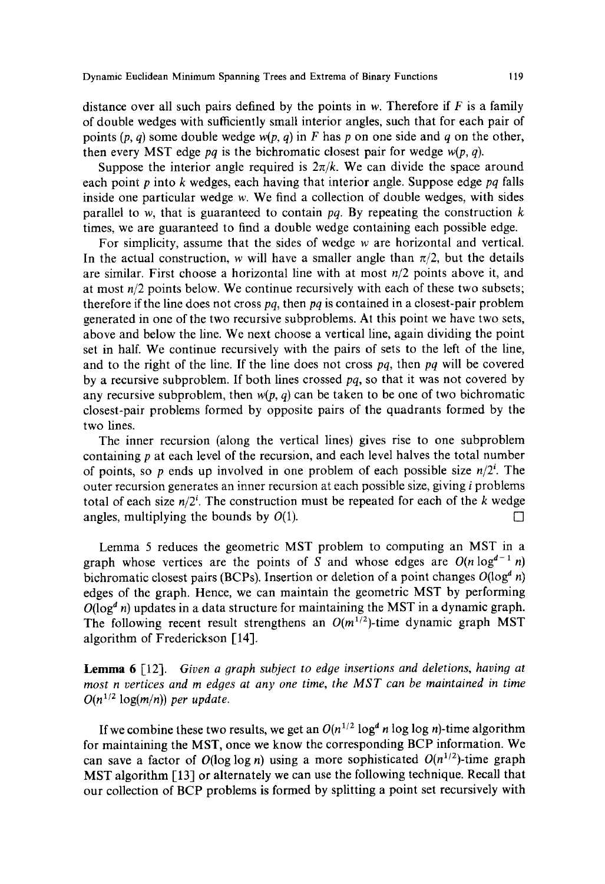Dynamic Euclidean Minimum Spanning Trees and Extrema of Binary Functions 119

distance over all such pairs defined by the points in w. Therefore if  $F$  is a family of double wedges with sufficiently small interior angles, such that for each pair of points  $(p, q)$  some double wedge  $w(p, q)$  in F has p on one side and q on the other, then every MST edge *pq* is the bichromatic closest pair for wedge  $w(p, q)$ .

Suppose the interior angle required is  $2\pi/k$ . We can divide the space around each point p into k wedges, each having that interior angle. Suppose edge *pq* falls inside one particular wedge w. We find a collection of double wedges, with sides parallel to w, that is guaranteed to contain  $pq$ . By repeating the construction  $k$ times, we are guaranteed to find a double wedge containing each possible edge.

For simplicity, assume that the sides of wedge w are horizontal and vertical. In the actual construction, w will have a smaller angle than  $\pi/2$ , but the details are similar. First choose a horizontal line with at most *n/2* points above it, and at most *n/2* points below. We continue recursively with each of these two subsets; therefore if the line does not cross *pq,* then *pq* is contained in a closest-pair problem generated in one of the two recursive subproblems. At this point we have two sets, above and below the line. We next choose a vertical line, again dividing the point set in half. We continue recursively with the pairs of sets to the left of the line, and to the right of the line. If the line does not cross *pq,* then *pq* will be covered by a recursive subproblem. If both lines crossed *pq,* so that it was not covered by any recursive subproblem, then  $w(p, q)$  can be taken to be one of two bichromatic closest-pair problems formed by opposite pairs of the quadrants formed by the two lines.

The inner recursion (along the vertical lines) gives rise to one subproblem containing p at each level of the recursion, and each level halves the total number of points, so p ends up involved in one problem of each possible size  $n/2^i$ . The outer recursion generates an inner recursion at each possible size, giving i problems total of each size  $n/2^i$ . The construction must be repeated for each of the k wedge angles, multiplying the bounds by  $O(1)$ .

Lemma 5 reduces the geometric MST problem to computing an MST in a graph whose vertices are the points of S and whose edges are  $O(n \log^{d-1} n)$ bichromatic closest pairs (BCPs). Insertion or deletion of a point changes  $O(\log^d n)$ edges of the graph. Hence, we can maintain the geometric MST by performing  $O(log^{d} n)$  updates in a data structure for maintaining the MST in a dynamic graph. The following recent result strengthens an  $O(m^{1/2})$ -time dynamic graph MST algorithm of Frederickson [14].

Lemma 6 [12]. *Given a graph subject to edge insertions and deletions, having at most n vertices and m edges at any one time, the MST can be maintained in time*   $O(n^{1/2} \log(m/n))$  per update.

If we combine these two results, we get an  $O(n^{1/2} \log^d n \log \log n)$ -time algorithm for maintaining the MST, once we know the corresponding BCP information. We can save a factor of  $O(\log \log n)$  using a more sophisticated  $O(n^{1/2})$ -time graph MST algorithm [13] or alternately we can use the following technique. Recall that our collection of BCP problems is formed by splitting a point set recursively with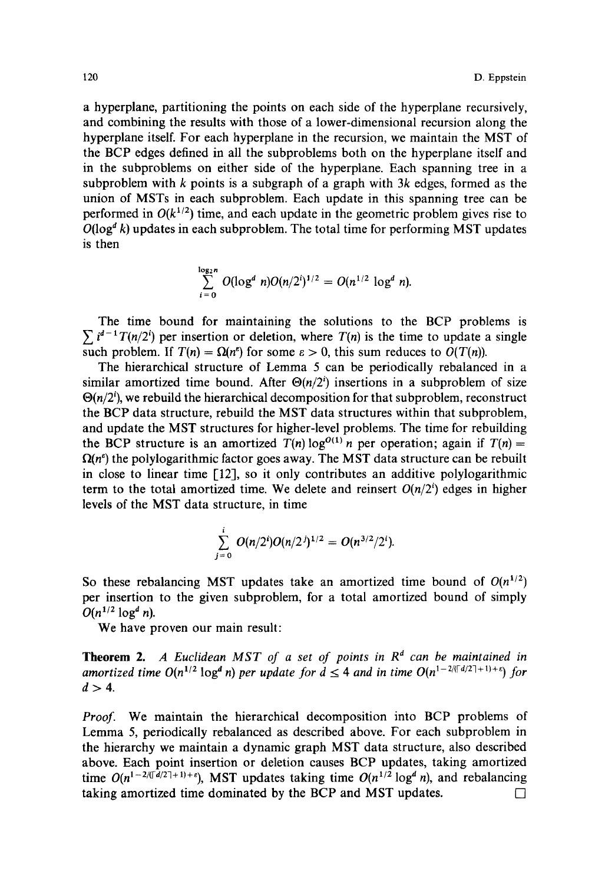a hyperplane, partitioning the points on each side of the hyperplane recursively, and combining the results with those of a lower-dimensional recursion along the hyperplane itself. For each hyperplane in the recursion, we maintain the MST of the BCP edges defined in all the subproblems both on the hyperplane itself and in the subproblems on either side of the hyperplane. Each spanning tree in a subproblem with k points is a subgraph of a graph with  $3k$  edges, formed as the union of MSTs in each subproblem. Each update in this spanning tree can be performed in  $O(k^{1/2})$  time, and each update in the geometric problem gives rise to  $O(log^d k)$  updates in each subproblem. The total time for performing MST updates is then

$$
\sum_{i=0}^{\log_2 n} O(\log^d n) O(n/2^i)^{1/2} = O(n^{1/2} \log^d n).
$$

The time bound for maintaining the solutions to the BCP problems is  $\sum i^{d-1} T(n/2^i)$  per insertion or deletion, where  $T(n)$  is the time to update a single such problem. If  $T(n) = \Omega(n^e)$  for some  $\varepsilon > 0$ , this sum reduces to  $O(T(n))$ .

The hierarchical structure of Lemma 5 can be periodically rebalanced in a similar amortized time bound. After  $\Theta(n/2^i)$  insertions in a subproblem of size  $\Theta(n/2^i)$ , we rebuild the hierarchical decomposition for that subproblem, reconstruct the BCP data structure, rebuild the MST data structures within that subproblem, and update the MST structures for higher-level problems. The time for rebuilding the BCP structure is an amortized  $T(n) \log^{O(1)} n$  per operation; again if  $T(n) =$  $\Omega(n^{\epsilon})$  the polylogarithmic factor goes away. The MST data structure can be rebuilt in close to linear time [12], so it only contributes an additive polylogarithmic term to the total amortized time. We delete and reinsert  $O(n/2^i)$  edges in higher levels of the MST data structure, in time

$$
\sum_{j=0}^i O(n/2^i)O(n/2^j)^{1/2}=O(n^{3/2}/2^i).
$$

So these rebalancing MST updates take an amortized time bound of  $O(n^{1/2})$ per insertion to the given subproblem, for a total amortized bound of simply  $O(n^{1/2} \log^d n)$ .

We have proven our main result:

**Theorem 2.** A Euclidean MST of a set of points in  $R<sup>d</sup>$  can be maintained in *amortized time O(n<sup>1/2</sup> log<sup>d</sup> <i>n)* per update for  $d \leq 4$  and in time  $O(n^{1-2/(\lceil d/2 \rceil+1)+\epsilon})$  for  $d>4$ .

*Proof.* We maintain the hierarchical decomposition into BCP problems of Lemma 5, periodically rebalanced as described above. For each subproblem in the hierarchy we maintain a dynamic graph MST data structure, also described above. Each point insertion or deletion causes BCP updates, taking amortized time  $O(n^{1-2/(\lceil d/2 \rceil+1)+\epsilon})$ , MST updates taking time  $O(n^{1/2} \log^d n)$ , and rebalancing taking amortized time dominated by the BCP and MST updates.  $\Box$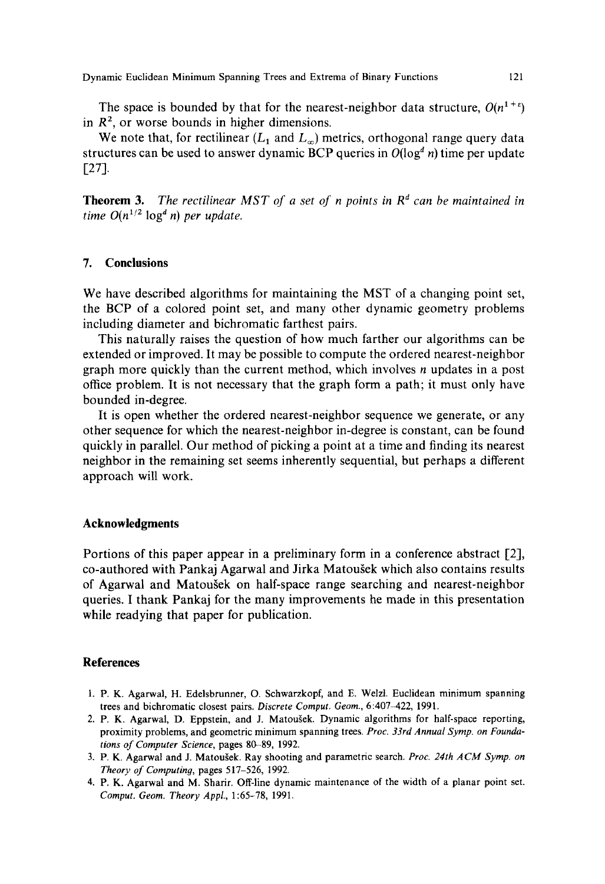The space is bounded by that for the nearest-neighbor data structure,  $O(n^{1+\epsilon})$ in  $R<sup>2</sup>$ , or worse bounds in higher dimensions.

We note that, for rectilinear  $(L_1 \text{ and } L_{\infty})$  metrics, orthogonal range query data structures can be used to answer dynamic BCP queries in  $O(log^d n)$  time per update  $[27]$ .

**Theorem 3.** *The rectilinear MST of a set of n points in*  $R<sup>d</sup>$  *can be maintained in time*  $O(n^{1/2} \log^d n)$  *per update.* 

# **7. Conclusions**

We have described algorithms for maintaining the MST of a changing point set, the BCP of a colored point set, and many other dynamic geometry problems including diameter and bichromatic farthest pairs.

This naturally raises the question of how much farther our algorithms can be extended or improved. It may be possible to compute the ordered nearest-neighbor graph more quickly than the current method, which involves n updates in a post office problem. It is not necessary that the graph form a path; it must only have bounded in-degree.

It is open whether the ordered nearest-neighbor sequence we generate, or any other sequence for which the nearest-neighbor in-degree is constant, can be found quickly in parallel. Our method of picking a point at a time and finding its nearest neighbor in the remaining set seems inherently sequential, but perhaps a different approach will work.

#### **Acknowledgments**

Portions of this paper appear in a preliminary form in a conference abstract [2], co-authored with Pankaj Agarwal and Jirka Matougek which also contains results of Agarwal and Matoušek on half-space range searching and nearest-neighbor queries. I thank Pankaj for the many improvements he made in this presentation while readying that paper for publication.

# **References**

- 1. P. K. Agarwal, H. Edelsbrunner, O. Schwarzkopf, and E. Welzl. Euclidean minimum spanning trees and bichromatic closest pairs. *Discrete Comput. Geom.*, 6:407-422, 1991.
- 2. P. K. Agarwal, D. Eppstein, and J. Matoušek. Dynamic algorithms for half-space reporting, proximity problems, and geometric minimum spanning trees. *Proc. 33rd Annual Syrup. on Foundations of Computer Science,* pages 80-89, 1992.
- 3. P. K. Agarwal and J. Matougek. Ray shooting and parametric search. *Proc. 24th ACM Syrup. on Theory of Computing,* pages 517-526, 1992.
- 4. P. K. Agarwal and M. Sharir. Off-line dynamic maintenance of the width of a planar point set. *Comput. Geom. Theory Appl.,* 1:65-78, 1991.